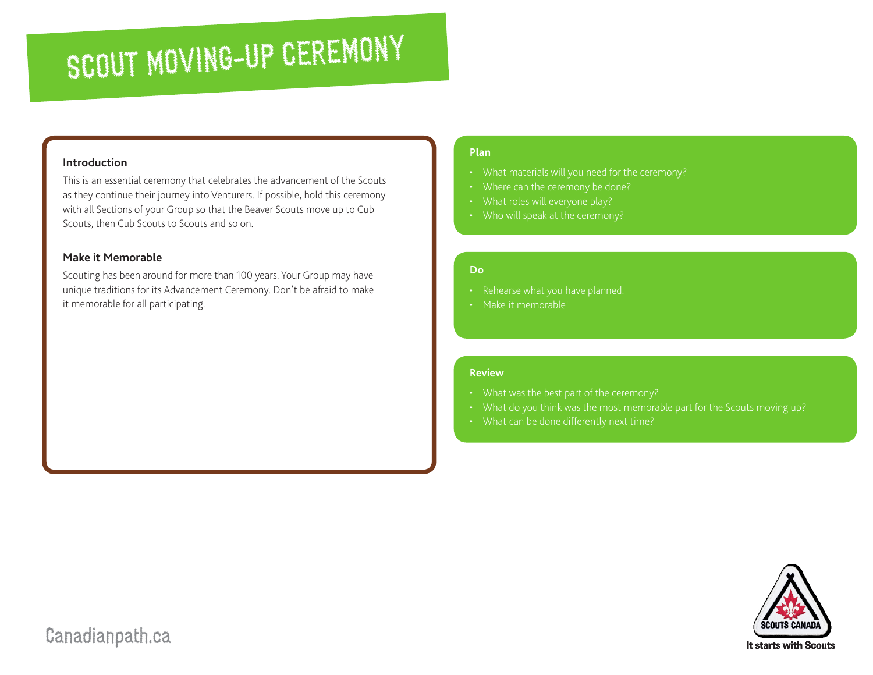# SCOUT MOVING-UP CEREMONY

## **Introduction**

This is an essential ceremony that celebrates the advancement of the Scouts as they continue their journey into Venturers. If possible, hold this ceremony with all Sections of your Group so that the Beaver Scouts move up to Cub Scouts, then Cub Scouts to Scouts and so on.

### **Make it Memorable**

Scouting has been around for more than 100 years. Your Group may have unique traditions for its Advancement Ceremony. Don't be afraid to make it memorable for all participating.

#### **Plan**

- 
- Where can the ceremony be done?
- 
- 

#### **Do**

- 
- Make it memorable!

#### **Review**

- 
- What do you think was the most memorable part for the Scouts moving up?
- 



# Canadianpath.ca